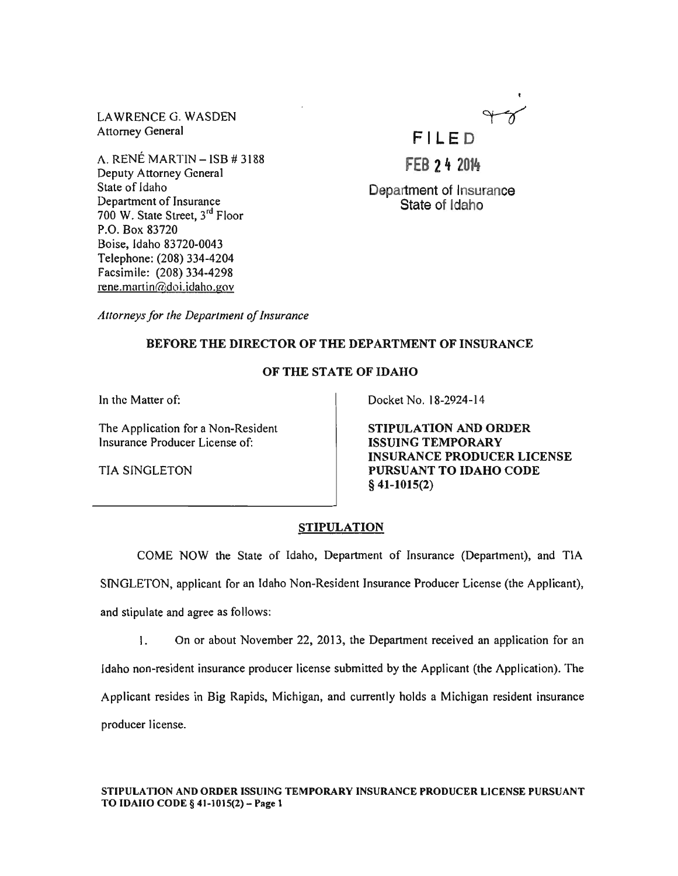LAWRENCE G. WASDEN Attorney General

A. RENÉ MARTIN - ISB # 3188 Deputy Attorney General State of Idaho Department of Insurance 700 W. State Street, 3rd Floor P.O. Box 83720 Boise, Idaho 83720-0043 Telephone: (208) 334-4204 Facsimile: (208) 334-4298  $rene.martin@doi.idaho.gov$ 

F I LED

**FEB 24 2014** 

Department of Insurance State of Idaho

*Attorneys/or the Department* 0/ *Insurance* 

# BEFORE THE DIRECTOR OF THE DEPARTMENT OF INSURANCE

# OF THE STATE OF IDAHO

In the Matter of:

The Application for a Non-Resident Insurance Producer License of:

TIA SINGLETON

Docket No. 18-2924-14

STIPULATION AND ORDER ISSUING TEMPORARY INSURANCE PRODUCER LICENSE PURSUANT TO IDAHO CODE § 41-1015(2)

# STIPULATION

COME NOW the State of Idaho, Department of Insurance (Department), and TIA SINGLETON, applicant for an Idaho Non-Resident Insurance Producer License (the Applicant), and stipulate and agree as follows:

I. On or about November 22, 2013, the Department received an application for an Idaho non-resident insurance producer license submitted by the Applicant (the Application). The Applicant resides in Big Rapids, Michigan, and currently holds a Michigan resident insurance producer license.

STIPULATION AND ORDER ISSUING TEMPORARY INSURANCE PRODUCER LICENSE PURSUANT TO IDAHO CODE § 41-1015(2)- Page 1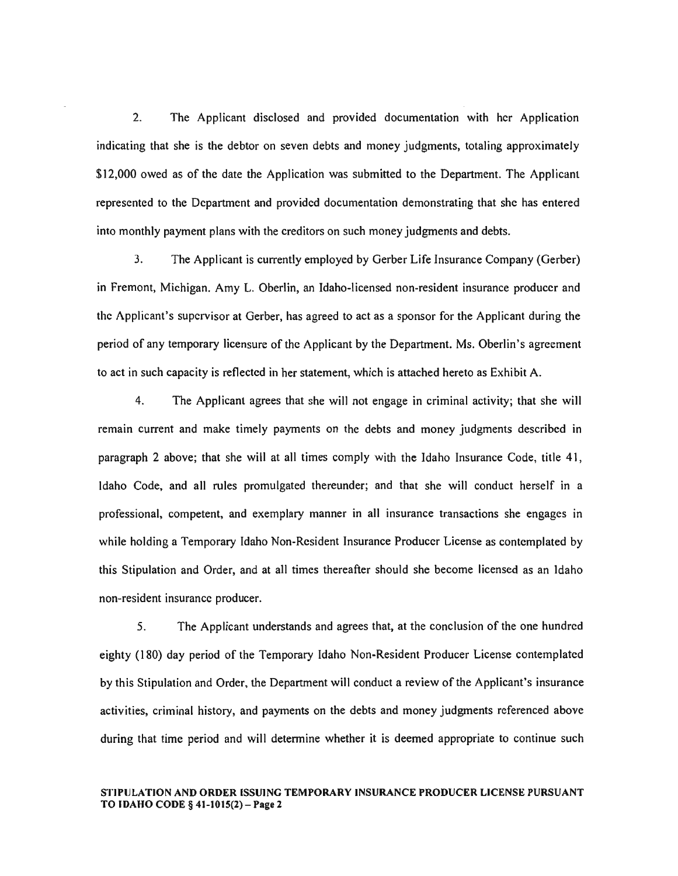2. The Applicant disclosed and provided documentation with her Application indicating that she is the debtor on seven debts and money judgments, totaling approximately \$12,000 owed as of the date the Application was submitted to the Department. The Applicant represented to the Department and provided documentation demonstrating that she has entered into monthly payment plans with the creditors on such money judgments and debts.

3. The Applicant is currently employed by Gerber Life Insurance Company (Gerber) in Fremont, Michigan. Amy L. Oberlin, an Idaho-licensed non-resident insurance producer and the Applicant's supervisor at Gerber, has agreed to act as a sponsor for the Applicant during the period of any temporary licensure of the Applicant by the Department. Ms. Oberlin's agreement to act in such capacity is reflected in her statement, which is attached hereto as Exhibit A.

4. The Applicant agrees that she will not engage in criminal activity; that she will remain current and make timely payments on the debts and money judgments described in paragraph 2 above; that she will at all times comply with the Idaho Insurance Code, title 41, Idaho Code, and all rules promulgated thereunder; and that she will conduct herself in a professional, competent, and exemplary manner in all insurance transactions she engages in while holding a Temporary Idaho Non-Resident Insurance Producer License as contemplated by this StipUlation and Order, and at all times thereafter should she become licensed as an Idaho non-resident insurance producer.

5. The Applicant understands and agrees that, at the conclusion of the one hundred eighty (180) day period of the Temporary Idaho Non-Resident Producer License contemplated by this Stipulation and Order, the Department will conduct a review of the Applicant's insurance activities, criminal history, and payments on the debts and money judgments referenced above during that time period and will determine whether it is deemed appropriate to continue such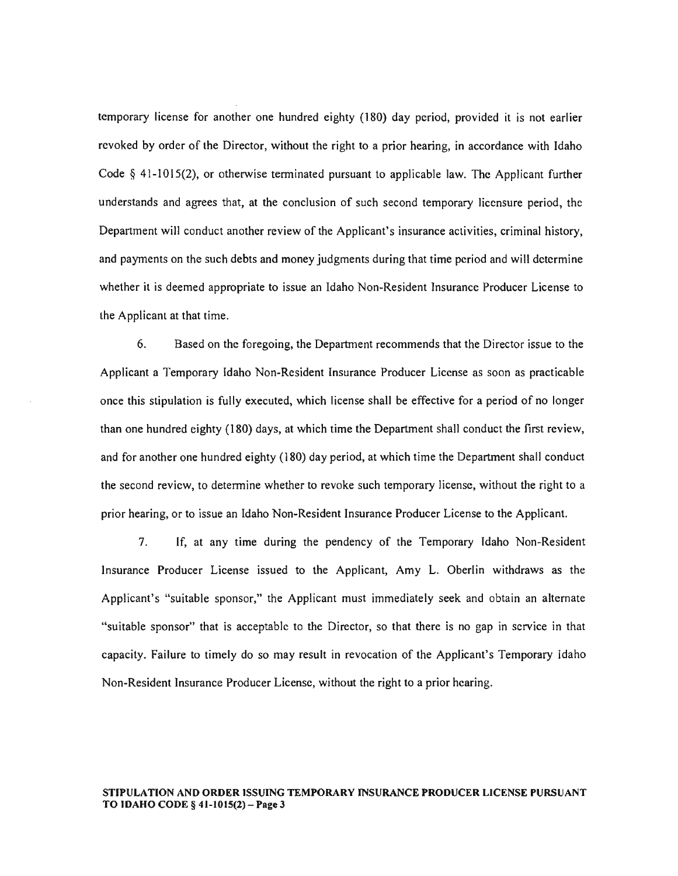temporary license for another one hundred eighty (180) day period, provided it is not earlier revoked by order of the Director, without the right to a prior hearing, in accordance with Idaho Code  $\S$  41-1015(2), or otherwise terminated pursuant to applicable law. The Applicant further understands and agrees that, at the conclusion of such second temporary licensure period, the Department will conduct another review of the Applicant's insurance activities, criminal history, and payments on the such debts and money judgments during that time period and will determine whether it is deemed appropriate to issue an Idaho Non-Resident Insurance Producer License to the Applicant at that time.

6. Based on the foregoing, the Department recommends that the Director issue to the Applicant a Temporary Idaho Non-Resident Insurance Producer License as soon as practicable once this stipulation is fully executed, which license shall be effective for a period of no longer than one hundred eighty (180) days, at which time the Department shall conduct the first review, and for another one hundred eighty (180) day period, at which time the Department shall conduct the second review, to detennine whether to revoke such temporary license, without the right to a prior hearing, or to issue an Idaho Non-Resident Insurance Producer License to the Applicant.

7. If, at any time during the pendency of the Temporary Idaho Non-Resident Insurance Producer License issued to the Applicant, Amy L. Oberlin withdraws as the Applicant's "suitable sponsor," the Applicant must immediately seek and obtain an alternate "suitable sponsor" that is acceptable to the Director, so that there is no gap in service in that capacity. Failure to timely do so may result in revocation of the Applicant's Temporary Idaho Non-Resident Insurance Producer License, without the right to a prior hearing.

#### STIPULATION AND ORDER ISSUING TEMPORARY INSURANCE PRODUCER LICENSE PURSUANT TO IDAHO CODE § 41-1015(2) - Page 3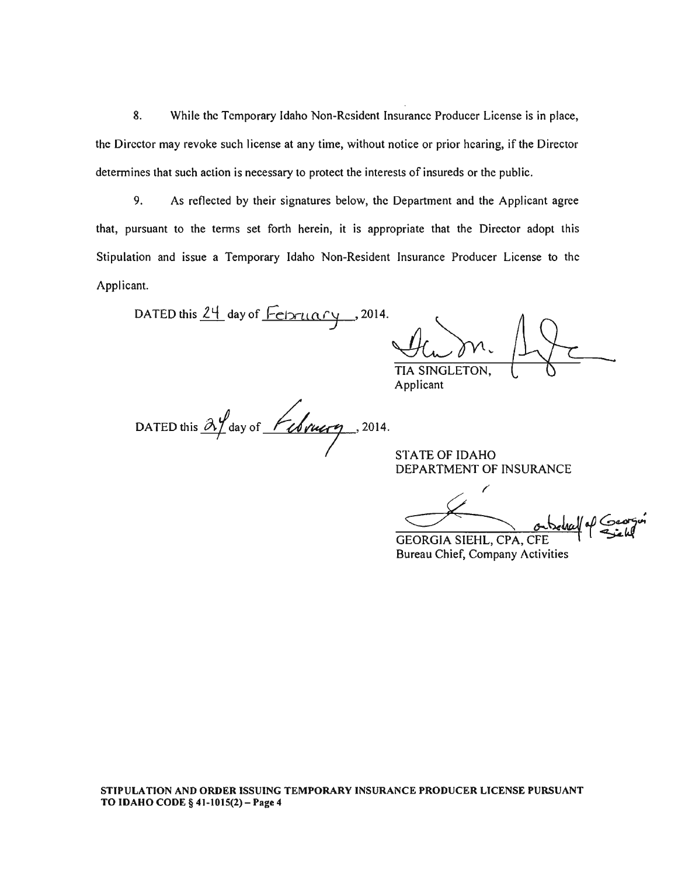8. While the Temporary Idaho Non-Resident Insurance Producer License is in place, the Director may revoke such license at any time, without notice or prior hearing, if the Director determines that such action is necessary to protect the interests of insureds or the public.

9. As reflected by their signatures below, the Department and the Applicant agree that, pursuant to the terms set forth herein, it is appropriate that the Director adopt this Stipulation and issue a Temporary Idaho Non-Resident Insurance Producer License to the Applicant.

DATED this  $24$  day of  $\sqrt{\frac{1}{2}}$  or  $\frac{1}{2}$ , 2014.

TIA SINGLETON,

Applicant

DATED this  $\frac{\partial y}{\partial x}$  day of *February* . 2014.

STATE OF IDAHO DEPARTMENT OF INSURANCE

FATE OF IDAHO<br>EPARTMENT OF INSURANCE<br>EORGIA SIEHL, CPA, CFE r  $or$  behalf of  $Coorgon$ GEORGIA SIEHL, CPA, CFE

Bureau Chief, Company Activities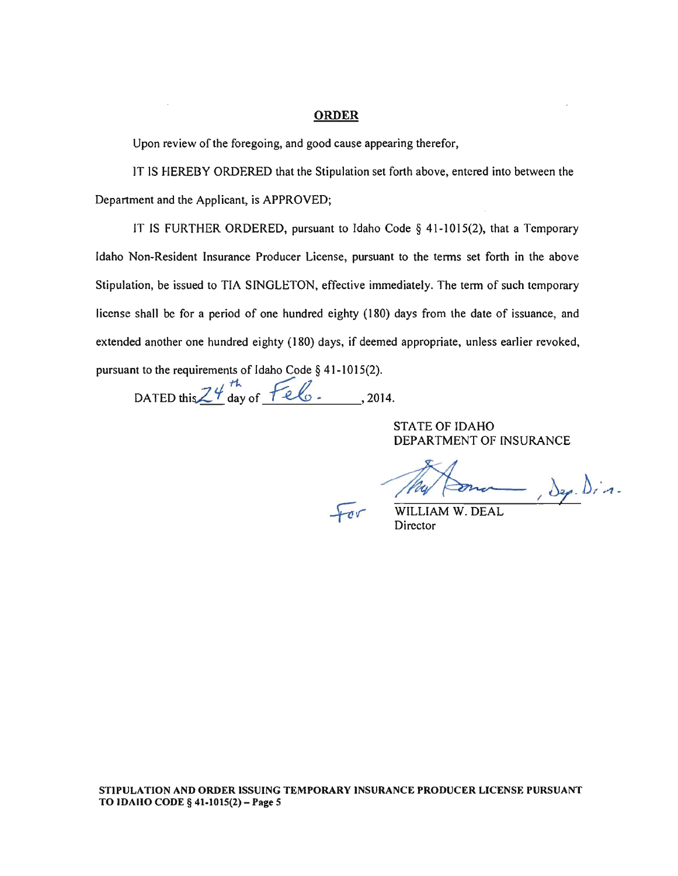#### ORDER

Upon review of the foregoing, and good cause appearing therefor,

IT IS HEREBY ORDERED that the Stipulation set forth above, entered into between the Department and the Applicant, is APPROVED;

IT IS FURTHER ORDERED, pursuant to Idaho Code § 41-1015(2), that a Temporary Idaho Non-Resident Insurance Producer License, pursuant to the terms set forth in the above Stipulation, be issued to TIA SINGLETON, effective immediately. The term of such temporary license shall be for a period of one hundred eighty (180) days from the date of issuance, and extended another one hundred eighty (180) days, if deemed appropriate, unless earlier revoked, pursuant to the requirements of Idaho Code § 41-1015(2).

DATED this  $Z^{\psi^{th}}$  day of  $Feb$ ., 2014.

STATE OF IDAHO DEPARTMENT OF INSURANCE

ma Jep. Din.

WILLIAM W. DEAL Director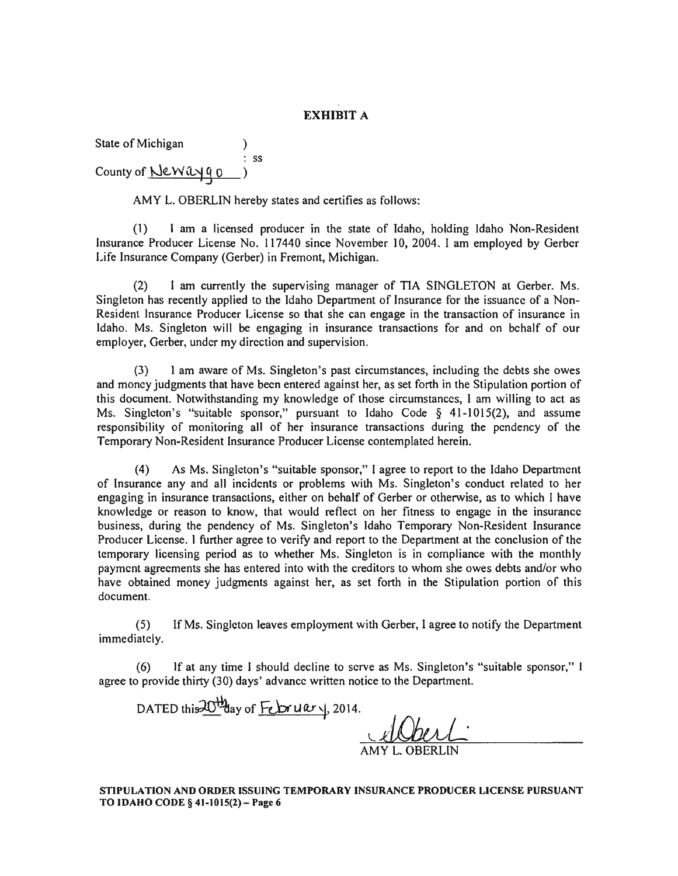# EXHIBIT A

State of Michigan :<br>: ss County of <u>New ayao</u>

AMY L. OBERLIN hereby states and certifies as follows:

(1) I am a licensed producer in the state of Idaho, holding Idaho Non-Resident Insurance Producer License No. 117440 since November 10, 2004. I am employed by Gerber Life Insurance Company (Gerber) in Fremont, Michigan.

(2) I am currently the supervising manager of TIA SINGLETON at Gerber. Ms. Singleton has recently applied to the Idaho Department of Insurance for the issuance of a Non-Resident Insurance Producer License so that she can engage in the transaction of insurance in Idaho. Ms. Singleton will be engaging in insurance transactions for and on behalf of our employer, Gerber, under my direction and supervision.

(3) I am aware of Ms. Singleton'S past circumstances, including the debts she owes and money judgments that have been entered against her, as set forth in the Stipulation portion of this document. Notwithstanding my knowledge of those circumstances, I am willing to act as Ms. Singleton's "suitable sponsor," pursuant to Idaho Code  $\S$  41-1015(2), and assume responsibility of monitoring all of her insurance transactions during the pendency of the Temporary Non-Resident Insurance Producer License contemplated herein.

(4) As Ms. Singleton'S "suitable sponsor," I agree to report to the Idaho Department of Insurance any and all incidents or problems with Ms. Singleton's conduct related to her engaging in insurance transactions, either on behalf of Gerber or otherwise, as to which I have knowledge or reason to know, that would reflect on her fitness to engage in the insurance business, during the pendency of Ms. Singleton's Idaho Temporary Non-Resident Insurance Producer License. I further agree to verify and report to the Department at the conclusion of the temporary licensing period as to whether Ms. Singleton is in compliance with the monthly payment agreements she has entered into with the creditors to whom she owes debts and/or who have obtained money judgments against her, as set forth in the Stipulation portion of this document.

(5) If Ms. Singleton leaves employment with Gerber, I agree to notify the Department immediately.

(6) If at any time I should decline to serve as Ms. Singleton'S "suitable sponsor," ( agree to provide thirty (30) days' advance written notice to the Department.

DATED this  $\frac{10^{11}}{20}$  day of  $\frac{1}{20}$   $\frac{1}{2014}$ . <u>Waari</u> AMY L. OBERLIN

STIPULATION AND ORDER ISSUING TEMPORARY INSURANCE PRODUCER LICENSE PURSUANT TO IDAHO CODE § 41-1015(2) - Page 6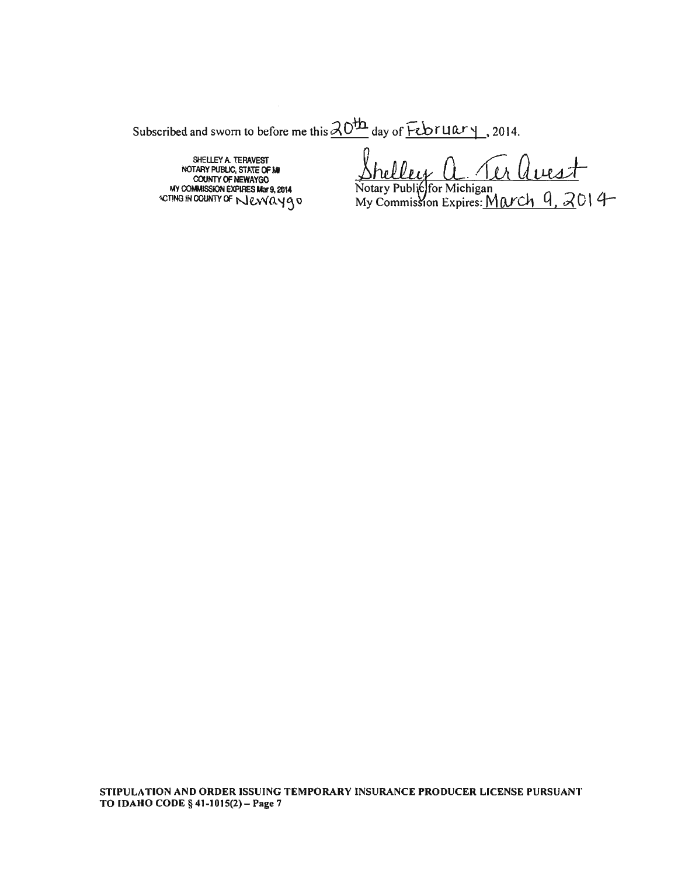Subscribed and sworn to before me this  $\frac{\partial O^{\dagger h}}{\partial \alpha}$  day of  $\overline{Fcbruar}$ , 2014.

SHEUEY A TERAVEST NOTARY PUBUC, STATE CF W COUNTY OF NEWAYGO<br>MY COMMISSION EXPIRES Mar 9, 2014<br>CTING IN COUNTY OF NUCVVOUY Q D

 $\mu$ <u>uest</u>

Notary Public for Michigan<br>My Commission Expires: <u>March 9, 2</u>014